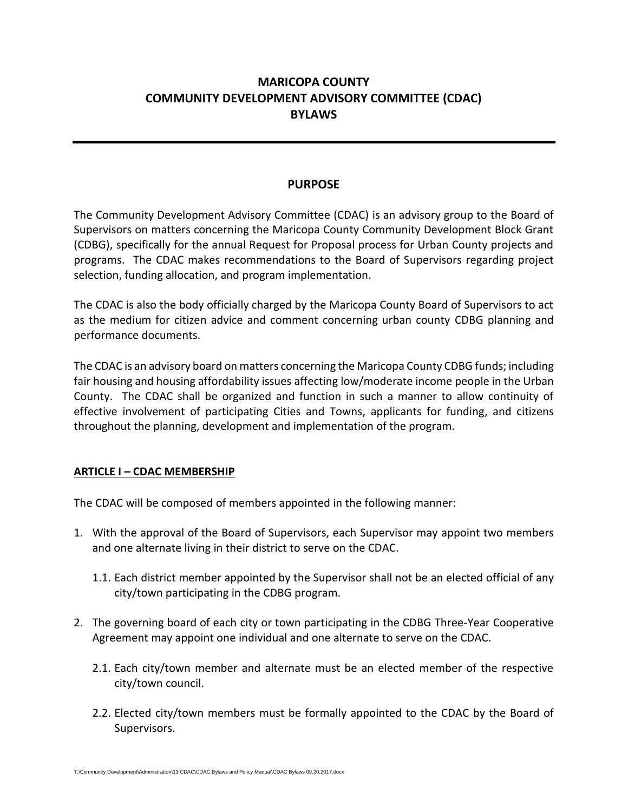# **MARICOPA COUNTY COMMUNITY DEVELOPMENT ADVISORY COMMITTEE (CDAC) BYLAWS**

#### **PURPOSE**

The Community Development Advisory Committee (CDAC) is an advisory group to the Board of Supervisors on matters concerning the Maricopa County Community Development Block Grant (CDBG), specifically for the annual Request for Proposal process for Urban County projects and programs. The CDAC makes recommendations to the Board of Supervisors regarding project selection, funding allocation, and program implementation.

The CDAC is also the body officially charged by the Maricopa County Board of Supervisors to act as the medium for citizen advice and comment concerning urban county CDBG planning and performance documents.

The CDAC is an advisory board on matters concerning the Maricopa County CDBG funds; including fair housing and housing affordability issues affecting low/moderate income people in the Urban County. The CDAC shall be organized and function in such a manner to allow continuity of effective involvement of participating Cities and Towns, applicants for funding, and citizens throughout the planning, development and implementation of the program.

#### **ARTICLE I – CDAC MEMBERSHIP**

The CDAC will be composed of members appointed in the following manner:

- 1. With the approval of the Board of Supervisors, each Supervisor may appoint two members and one alternate living in their district to serve on the CDAC.
	- 1.1. Each district member appointed by the Supervisor shall not be an elected official of any city/town participating in the CDBG program.
- 2. The governing board of each city or town participating in the CDBG Three-Year Cooperative Agreement may appoint one individual and one alternate to serve on the CDAC.
	- 2.1. Each city/town member and alternate must be an elected member of the respective city/town council.
	- 2.2. Elected city/town members must be formally appointed to the CDAC by the Board of Supervisors.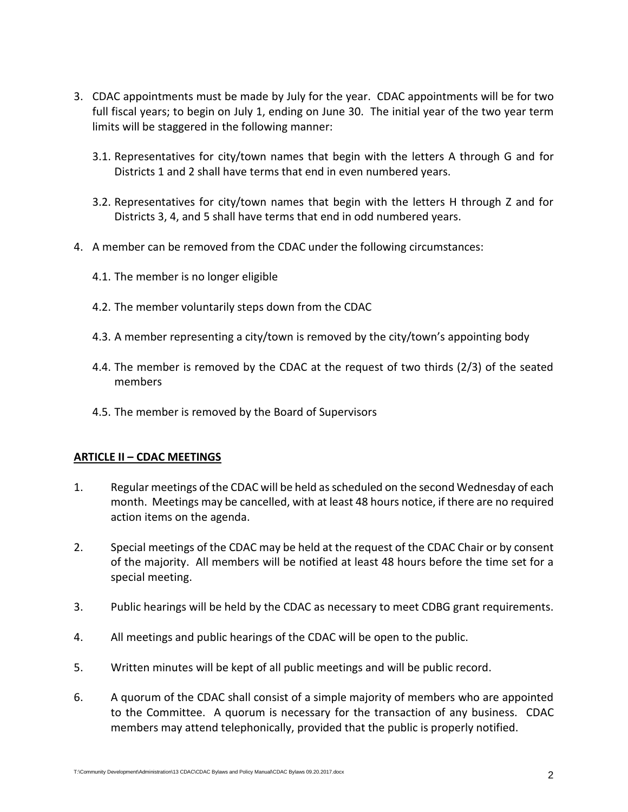- 3. CDAC appointments must be made by July for the year. CDAC appointments will be for two full fiscal years; to begin on July 1, ending on June 30. The initial year of the two year term limits will be staggered in the following manner:
	- 3.1. Representatives for city/town names that begin with the letters A through G and for Districts 1 and 2 shall have terms that end in even numbered years.
	- 3.2. Representatives for city/town names that begin with the letters H through Z and for Districts 3, 4, and 5 shall have terms that end in odd numbered years.
- 4. A member can be removed from the CDAC under the following circumstances:
	- 4.1. The member is no longer eligible
	- 4.2. The member voluntarily steps down from the CDAC
	- 4.3. A member representing a city/town is removed by the city/town's appointing body
	- 4.4. The member is removed by the CDAC at the request of two thirds (2/3) of the seated members
	- 4.5. The member is removed by the Board of Supervisors

#### **ARTICLE II – CDAC MEETINGS**

- 1. Regular meetings of the CDAC will be held as scheduled on the second Wednesday of each month. Meetings may be cancelled, with at least 48 hours notice, if there are no required action items on the agenda.
- 2. Special meetings of the CDAC may be held at the request of the CDAC Chair or by consent of the majority. All members will be notified at least 48 hours before the time set for a special meeting.
- 3. Public hearings will be held by the CDAC as necessary to meet CDBG grant requirements.
- 4. All meetings and public hearings of the CDAC will be open to the public.
- 5. Written minutes will be kept of all public meetings and will be public record.
- 6. A quorum of the CDAC shall consist of a simple majority of members who are appointed to the Committee. A quorum is necessary for the transaction of any business. CDAC members may attend telephonically, provided that the public is properly notified.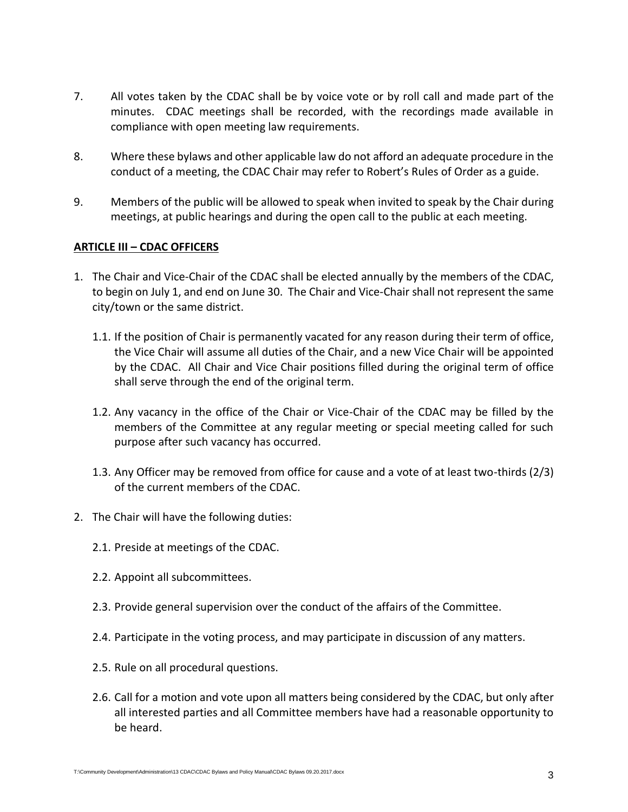- 7. All votes taken by the CDAC shall be by voice vote or by roll call and made part of the minutes. CDAC meetings shall be recorded, with the recordings made available in compliance with open meeting law requirements.
- 8. Where these bylaws and other applicable law do not afford an adequate procedure in the conduct of a meeting, the CDAC Chair may refer to Robert's Rules of Order as a guide.
- 9. Members of the public will be allowed to speak when invited to speak by the Chair during meetings, at public hearings and during the open call to the public at each meeting.

#### **ARTICLE III – CDAC OFFICERS**

- 1. The Chair and Vice-Chair of the CDAC shall be elected annually by the members of the CDAC, to begin on July 1, and end on June 30. The Chair and Vice-Chair shall not represent the same city/town or the same district.
	- 1.1. If the position of Chair is permanently vacated for any reason during their term of office, the Vice Chair will assume all duties of the Chair, and a new Vice Chair will be appointed by the CDAC. All Chair and Vice Chair positions filled during the original term of office shall serve through the end of the original term.
	- 1.2. Any vacancy in the office of the Chair or Vice-Chair of the CDAC may be filled by the members of the Committee at any regular meeting or special meeting called for such purpose after such vacancy has occurred.
	- 1.3. Any Officer may be removed from office for cause and a vote of at least two-thirds (2/3) of the current members of the CDAC.
- 2. The Chair will have the following duties:
	- 2.1. Preside at meetings of the CDAC.
	- 2.2. Appoint all subcommittees.
	- 2.3. Provide general supervision over the conduct of the affairs of the Committee.
	- 2.4. Participate in the voting process, and may participate in discussion of any matters.
	- 2.5. Rule on all procedural questions.
	- 2.6. Call for a motion and vote upon all matters being considered by the CDAC, but only after all interested parties and all Committee members have had a reasonable opportunity to be heard.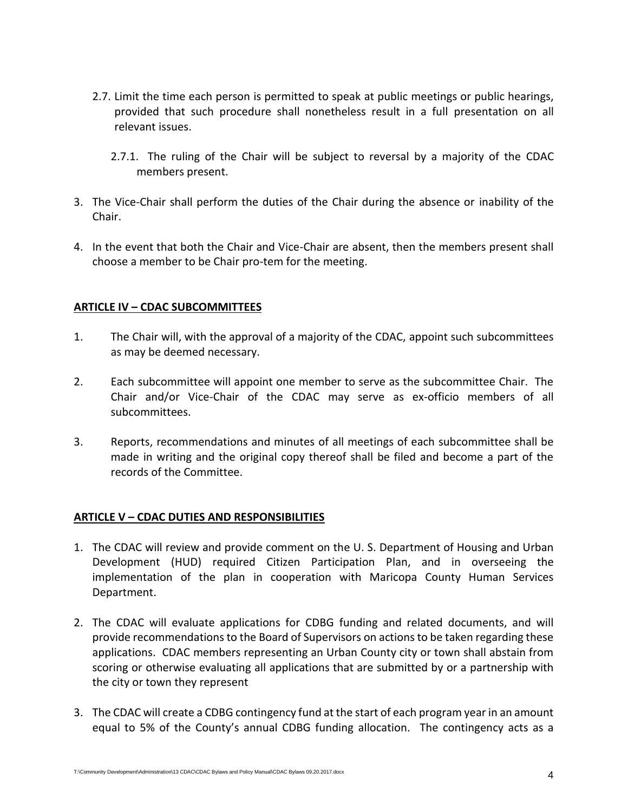- 2.7. Limit the time each person is permitted to speak at public meetings or public hearings, provided that such procedure shall nonetheless result in a full presentation on all relevant issues.
	- 2.7.1. The ruling of the Chair will be subject to reversal by a majority of the CDAC members present.
- 3. The Vice-Chair shall perform the duties of the Chair during the absence or inability of the Chair.
- 4. In the event that both the Chair and Vice-Chair are absent, then the members present shall choose a member to be Chair pro-tem for the meeting.

#### **ARTICLE IV – CDAC SUBCOMMITTEES**

- 1. The Chair will, with the approval of a majority of the CDAC, appoint such subcommittees as may be deemed necessary.
- 2. Each subcommittee will appoint one member to serve as the subcommittee Chair. The Chair and/or Vice-Chair of the CDAC may serve as ex-officio members of all subcommittees.
- 3. Reports, recommendations and minutes of all meetings of each subcommittee shall be made in writing and the original copy thereof shall be filed and become a part of the records of the Committee.

#### **ARTICLE V – CDAC DUTIES AND RESPONSIBILITIES**

- 1. The CDAC will review and provide comment on the U. S. Department of Housing and Urban Development (HUD) required Citizen Participation Plan, and in overseeing the implementation of the plan in cooperation with Maricopa County Human Services Department.
- 2. The CDAC will evaluate applications for CDBG funding and related documents, and will provide recommendations to the Board of Supervisors on actions to be taken regarding these applications. CDAC members representing an Urban County city or town shall abstain from scoring or otherwise evaluating all applications that are submitted by or a partnership with the city or town they represent
- 3. The CDAC will create a CDBG contingency fund at the start of each program year in an amount equal to 5% of the County's annual CDBG funding allocation. The contingency acts as a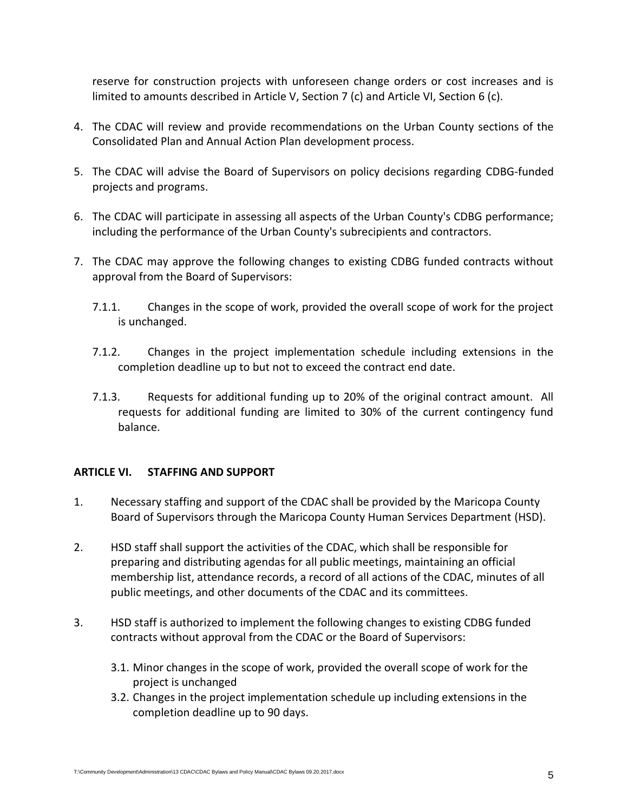reserve for construction projects with unforeseen change orders or cost increases and is limited to amounts described in Article V, Section 7 (c) and Article VI, Section 6 (c).

- 4. The CDAC will review and provide recommendations on the Urban County sections of the Consolidated Plan and Annual Action Plan development process.
- 5. The CDAC will advise the Board of Supervisors on policy decisions regarding CDBG-funded projects and programs.
- 6. The CDAC will participate in assessing all aspects of the Urban County's CDBG performance; including the performance of the Urban County's subrecipients and contractors.
- 7. The CDAC may approve the following changes to existing CDBG funded contracts without approval from the Board of Supervisors:
	- 7.1.1. Changes in the scope of work, provided the overall scope of work for the project is unchanged.
	- 7.1.2. Changes in the project implementation schedule including extensions in the completion deadline up to but not to exceed the contract end date.
	- 7.1.3. Requests for additional funding up to 20% of the original contract amount. All requests for additional funding are limited to 30% of the current contingency fund balance.

#### **ARTICLE VI. STAFFING AND SUPPORT**

- 1. Necessary staffing and support of the CDAC shall be provided by the Maricopa County Board of Supervisors through the Maricopa County Human Services Department (HSD).
- 2. HSD staff shall support the activities of the CDAC, which shall be responsible for preparing and distributing agendas for all public meetings, maintaining an official membership list, attendance records, a record of all actions of the CDAC, minutes of all public meetings, and other documents of the CDAC and its committees.
- 3. HSD staff is authorized to implement the following changes to existing CDBG funded contracts without approval from the CDAC or the Board of Supervisors:
	- 3.1. Minor changes in the scope of work, provided the overall scope of work for the project is unchanged
	- 3.2. Changes in the project implementation schedule up including extensions in the completion deadline up to 90 days.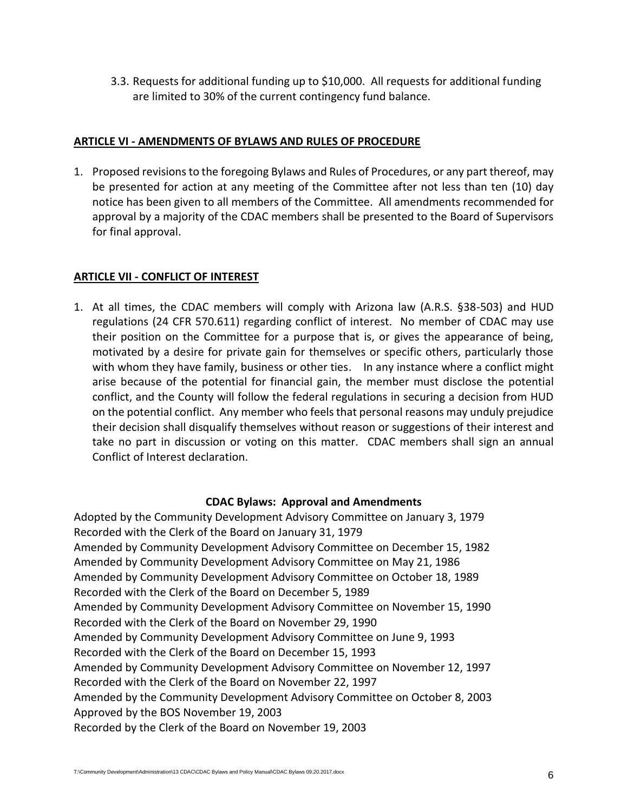3.3. Requests for additional funding up to \$10,000. All requests for additional funding are limited to 30% of the current contingency fund balance.

### **ARTICLE VI - AMENDMENTS OF BYLAWS AND RULES OF PROCEDURE**

1. Proposed revisions to the foregoing Bylaws and Rules of Procedures, or any part thereof, may be presented for action at any meeting of the Committee after not less than ten (10) day notice has been given to all members of the Committee. All amendments recommended for approval by a majority of the CDAC members shall be presented to the Board of Supervisors for final approval.

## **ARTICLE VII - CONFLICT OF INTEREST**

1. At all times, the CDAC members will comply with Arizona law (A.R.S. §38-503) and HUD regulations (24 CFR 570.611) regarding conflict of interest. No member of CDAC may use their position on the Committee for a purpose that is, or gives the appearance of being, motivated by a desire for private gain for themselves or specific others, particularly those with whom they have family, business or other ties. In any instance where a conflict might arise because of the potential for financial gain, the member must disclose the potential conflict, and the County will follow the federal regulations in securing a decision from HUD on the potential conflict. Any member who feels that personal reasons may unduly prejudice their decision shall disqualify themselves without reason or suggestions of their interest and take no part in discussion or voting on this matter. CDAC members shall sign an annual Conflict of Interest declaration.

#### **CDAC Bylaws: Approval and Amendments**

Adopted by the Community Development Advisory Committee on January 3, 1979 Recorded with the Clerk of the Board on January 31, 1979 Amended by Community Development Advisory Committee on December 15, 1982 Amended by Community Development Advisory Committee on May 21, 1986 Amended by Community Development Advisory Committee on October 18, 1989 Recorded with the Clerk of the Board on December 5, 1989 Amended by Community Development Advisory Committee on November 15, 1990 Recorded with the Clerk of the Board on November 29, 1990 Amended by Community Development Advisory Committee on June 9, 1993 Recorded with the Clerk of the Board on December 15, 1993 Amended by Community Development Advisory Committee on November 12, 1997 Recorded with the Clerk of the Board on November 22, 1997 Amended by the Community Development Advisory Committee on October 8, 2003 Approved by the BOS November 19, 2003 Recorded by the Clerk of the Board on November 19, 2003